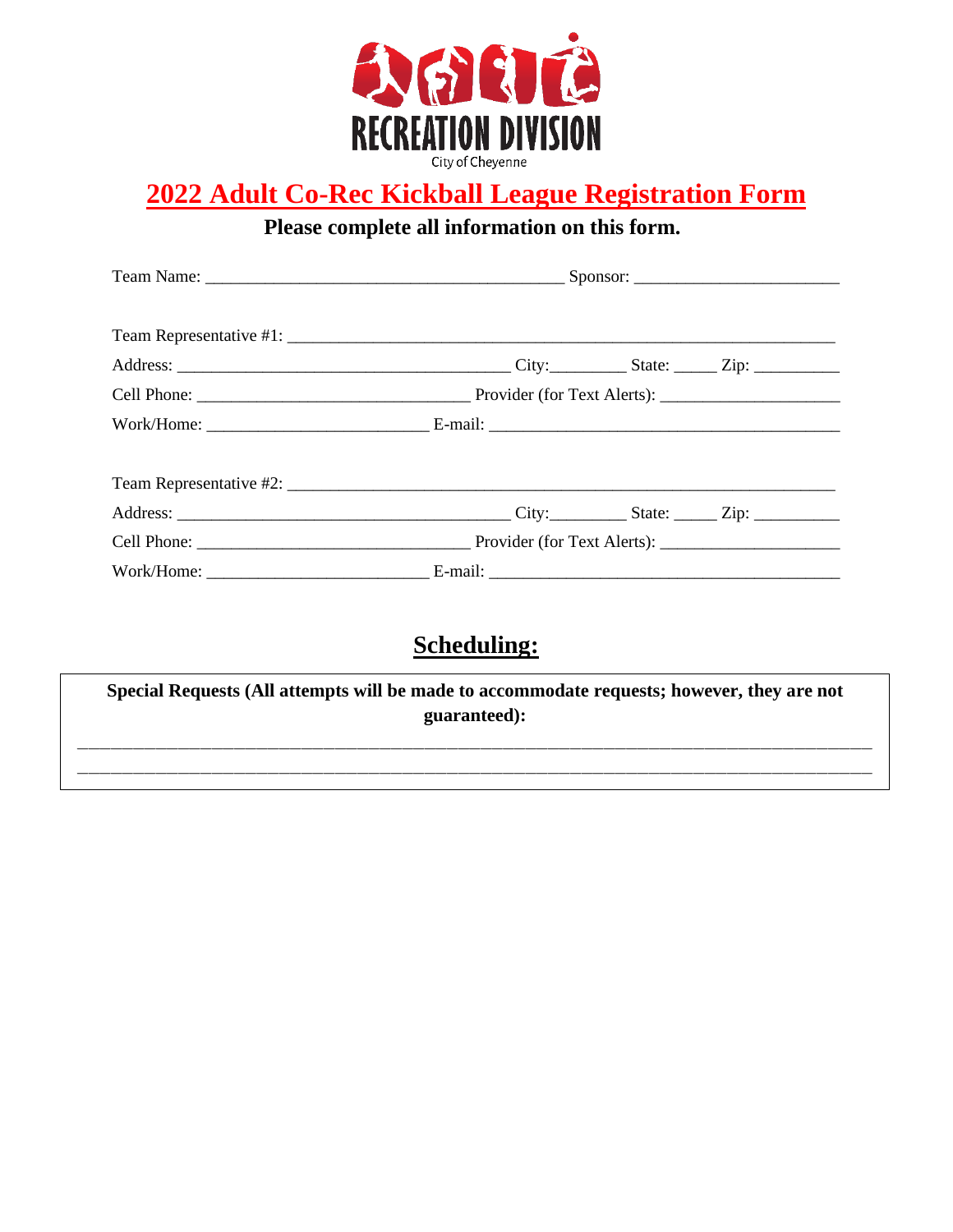

# **2022 Adult Co-Rec Kickball League Registration Form**

**Please complete all information on this form.!**

## **Scheduling:**

**\_\_\_\_\_\_\_\_\_\_\_\_\_\_\_\_\_\_\_\_\_\_\_\_\_\_\_\_\_\_\_\_\_\_\_\_\_\_\_\_\_\_\_\_\_\_\_\_\_\_\_\_\_\_\_\_\_\_\_\_\_\_\_\_\_\_\_\_\_\_\_\_\_\_\_\_\_\_ Special Requests (All attempts will be made to accommodate requests; however, they are not guaranteed):**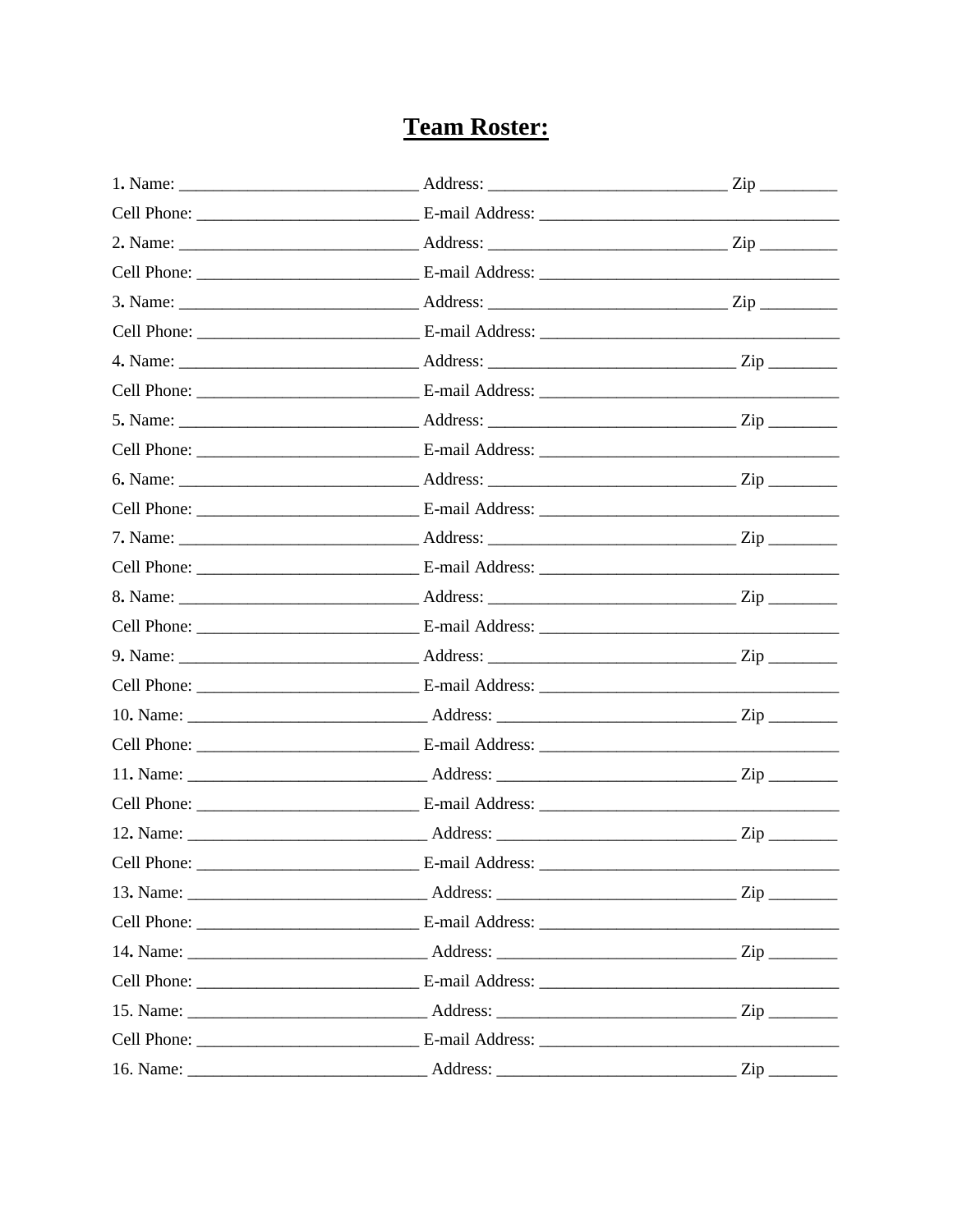## **Team Roster:**

|             |                      | $\mathsf{Zip}\_\_$ |
|-------------|----------------------|--------------------|
|             |                      |                    |
|             |                      |                    |
|             |                      |                    |
|             |                      |                    |
|             |                      |                    |
|             |                      |                    |
|             |                      |                    |
|             |                      |                    |
|             |                      |                    |
|             |                      |                    |
|             |                      |                    |
|             |                      |                    |
|             |                      |                    |
|             |                      |                    |
|             |                      |                    |
|             |                      |                    |
|             |                      |                    |
|             |                      |                    |
| Cell Phone: | E-mail Address:      |                    |
|             | 13. Name: <u>Zip</u> |                    |
|             |                      |                    |
|             |                      |                    |
|             |                      |                    |
|             |                      |                    |
|             |                      |                    |
|             |                      |                    |